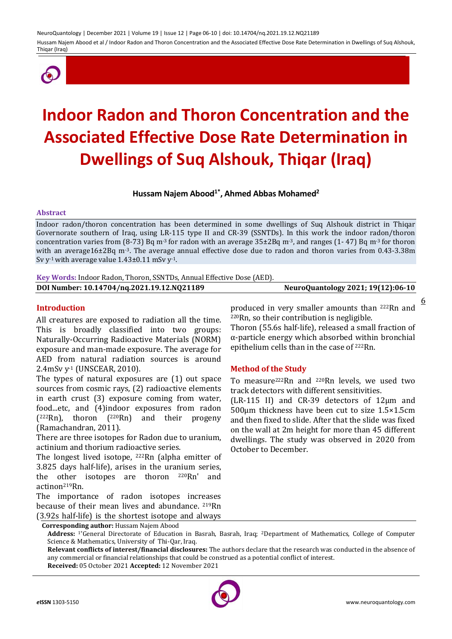NeuroQuantology | December 2021 | Volume 19 | Issue 12 | Page 06-10 | doi: 10.14704/nq.2021.19.12.NQ21189 Hussam Najem Abood et al / Indoor Radon and Thoron Concentration and the Associated Effective Dose Rate Determination in Dwellings of Suq Alshouk, Thiqar (Iraq)



# **Indoor Radon and Thoron Concentration and the Associated Effective Dose Rate Determination in Dwellings of Suq Alshouk, Thiqar (Iraq)**

# **Hussam Najem Abood1\* , Ahmed Abbas Mohamed<sup>2</sup>**

#### **Abstract**

Indoor radon/thoron concentration has been determined in some dwellings of Suq Alshouk district in Thiqar Governorate southern of Iraq, using LR-115 type II and CR-39 (SSNTDs). In this work the indoor radon/thoron concentration varies from (8-73) Bq m<sup>-3</sup> for radon with an average  $35\pm2Bq$  m<sup>-3</sup>, and ranges (1-47) Bq m<sup>-3</sup> for thoron with an average16±2Bq m<sup>-3</sup>. The average annual effective dose due to radon and thoron varies from 0.43-3.38m Sv y<sup>-1</sup> with average value  $1.43\pm0.11$  mSv y<sup>-1</sup>.

**Key Words:** Indoor Radon, Thoron, SSNTDs, Annual Effective Dose (AED).

**DOI Number: 10.14704/nq.2021.19.12.NQ21189 NeuroQuantology 2021; 19(12):06-10**

<u>6</u>

**Introduction**

All creatures are exposed to radiation all the time. This is broadly classified into two groups: Naturally-Occurring Radioactive Materials (NORM) exposure and man-made exposure. The average for AED from natural radiation sources is around 2.4mSv y-1 (UNSCEAR, 2010).

The types of natural exposures are (1) out space sources from cosmic rays, (2) radioactive elements in earth crust (3) exposure coming from water, food...etc, and (4)indoor exposures from radon ( <sup>222</sup>Rn), thoron (220Rn) and their progeny (Ramachandran, 2011).

There are three isotopes for Radon due to uranium, actinium and thorium radioactive series.

The longest lived isotope, 222Rn (alpha emitter of 3.825 days half-life), arises in the uranium series, the other isotopes are thoron 220Rn' and actinon219Rn.

The importance of radon isotopes increases because of their mean lives and abundance. 219Rn (3.92s half-life) is the shortest isotope and always

produced in very smaller amounts than 222Rn and <sup>220</sup>Rn, so their contribution is negligible. Thoron (55.6s half-life), released a small fraction of α-particle energy which absorbed within bronchial epithelium cells than in the case of 222Rn.

### **Method of the Study**

To measure222Rn and 220Rn levels, we used two track detectors with different sensitivities.

(LR-115 II) and CR-39 detectors of 12μm and 500μm thickness have been cut to size 1.5×1.5cm and then fixed to slide. After that the slide was fixed on the wall at 2m height for more than 45 different dwellings. The study was observed in 2020 from October to December.

**Relevant conflicts of interest/financial disclosures:** The authors declare that the research was conducted in the absence of any commercial or financial relationships that could be construed as a potential conflict of interest. **Received:** 05 October 2021 **Accepted:** 12 November 2021



**Corresponding author:** Hussam Najem Abood

**Address:** 1\*General Directorate of Education in Basrah, Basrah, Iraq; 2Department of Mathematics, College of Computer Science & Mathematics, University of Thi-Qar, Iraq.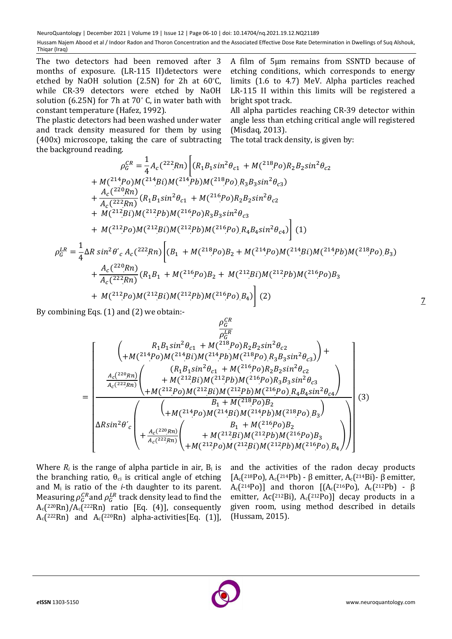NeuroQuantology | December 2021 | Volume 19 | Issue 12 | Page 06-10 | doi: 10.14704/nq.2021.19.12.NQ21189 Hussam Najem Abood et al / Indoor Radon and Thoron Concentration and the Associated Effective Dose Rate Determination in Dwellings of Suq Alshouk, Thigar (Iraq)

The two detectors had been removed after 3 months of exposure. (LR-115 II)detectors were etched by NaOH solution (2.5N) for 2h at 60°C, while CR-39 detectors were etched by NaOH solution (6.25N) for 7h at 70° C, in water bath with constant temperature (Hafez, 1992).

The plastic detectors had been washed under water and track density measured for them by using (400x) microscope, taking the care of subtracting the background reading.

A film of 5μm remains from SSNTD because of etching conditions, which corresponds to energy limits (1*.*6 to 4*.*7) MeV. Alpha particles reached LR-115 II within this limits will be registered a bright spot track.

All alpha particles reaching CR-39 detector within angle less than etching critical angle will registered (Misdaq, 2013).

The total track density, is given by:

$$
\rho_G^{CR} = \frac{1}{4} A_c(^{222}Rn) \left[ (R_1 B_1 \sin^2 \theta_{c1} + M(^{218}Po) R_2 B_2 \sin^2 \theta_{c2} \right. \\ + M(^{214}Po) M(^{214}Bi) M(^{214}Pb) M(^{218}Po) R_3 B_3 \sin^2 \theta_{c3} \right. \\ + \frac{A_c(^{220}Rn)}{A_c(^{222}Rn)} (R_1 B_1 \sin^2 \theta_{c1} + M(^{216}Po) R_2 B_2 \sin^2 \theta_{c2} \right. \\ + M(^{212}Bi) M(^{212}Pb) M(^{216}Po) R_3 B_3 \sin^2 \theta_{c3} \left. + M(^{212}Po) M(^{212}Bi) M(^{212}Pb) M(^{216}Po) R_4 B_4 \sin^2 \theta_{c4} \right] (1)
$$
  
\n
$$
\rho_G^{LR} = \frac{1}{4} \Delta R \sin^2 \theta'_{c} A_c(^{222}Rn) \left[ (B_1 + M(^{218}Po) B_2 + M(^{214}Po) M(^{214}Bi) M(^{214}Pb) M(^{218}Po) B_3 \right. \\ + \frac{A_c(^{220}Rn)}{A_c(^{222}Rn)} (R_1 B_1 + M(^{216}Po) B_2 + M(^{212}Bi) M(^{212}Pb) M(^{216}Po) B_3 \right. \\ + M(^{212}Po) M(^{212}Bi) M(^{212}Po) M(^{216}Po) B_4) (2)
$$

By combining Eqs. (1) and (2) we obtain:-

$$
\begin{pmatrix}\n\frac{\rho_{G}^{CR}}{\rho_{G}^{LR}} \\
+m(^{214}Po)M(^{214}Bi)M(^{218}Po)R_{2}B_{2}sin^{2}\theta_{c2} \\
+m(^{214}Po)M(^{214}Bi)M(^{218}Po)R_{3}B_{3}sin^{2}\theta_{c3}\n\end{pmatrix} + \frac{A_{c}(^{220}Rn)}{A_{c}(^{222}Rn)}\n\begin{pmatrix}\n(R_{1}B_{1}sin^{2}\theta_{c1} + M(^{216}Po)R_{2}B_{2}sin^{2}\theta_{c2} \\
+m(^{212}Bi)M(^{212}Pb)M(^{216}Po)R_{3}B_{3}sin^{2}\theta_{c3} \\
+m(^{212}Po)M(^{212}Bi)M(^{212}Pb)M(^{216}Po)R_{4}B_{4}sin^{2}\theta_{c4}\n\end{pmatrix}}{ARsin^{2}\theta_{c}}\n\begin{pmatrix}\nR_{1} + M(^{218}Po)B_{2} \\
+M(^{214}Po)M(^{214}Bi)M(^{214}Pb)M(^{218}Po)B_{3}\n\end{pmatrix}
$$
\n(3)\n
$$
B_{1} + M(^{216}Po)B_{2} \\
+ M(^{212}Bi)M(^{212}Pb)M(^{216}Po)B_{3}\n\end{pmatrix}
$$
\n(3)

Where  $R_i$  is the range of alpha particle in air,  $B_i$  is the branching ratio,  $\theta_{ci}$  is critical angle of etching and M<sup>i</sup> is ratio of the *i*-th daughter to its parent. Measuring  $\rho_G^{CR}$  and  $\rho_G^{LR}$  track density lead to find the  $A_c$ (220Rn)/ $A_c$ (222Rn) ratio [Eq. (4)], consequently  $A_c$ (222Rn) and  $A_c$ (220Rn) alpha-activities[Eq. (1)],

and the activities of the radon decay products [A<sub>c</sub>(218Po), A<sub>c</sub>(214Pb) - β emitter, A<sub>c</sub>(214Bi)- β emitter,  $A_c[^{214}Po]$ ] and thoron  $[(A_c(^{216}Po), A_c(^{212}Pb) - \beta]$ emitter, Ac( $2^{12}$ Bi), A<sub>c</sub>( $2^{12}$ Po)] decay products in a given room, using method described in details (Hussam, 2015).



7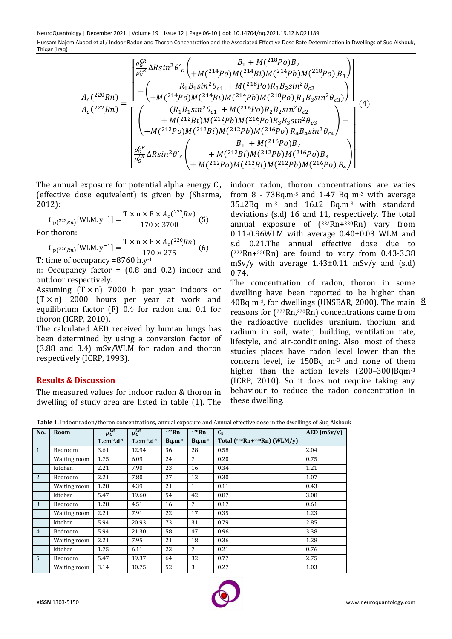NeuroQuantology | December 2021 | Volume 19 | Issue 12 | Page 06-10 | doi: 10.14704/nq.2021.19.12.NQ21189 Hussam Najem Abood et al / Indoor Radon and Thoron Concentration and the Associated Effective Dose Rate Determination in Dwellings of Suq Alshouk, Thiqar (Iraq)

$$
\frac{A_{c}(^{220}Rn)}{A_{c}(^{222}Rn)} = \frac{\begin{bmatrix} \frac{\rho_{G}^{CR}}{\rho_{G}^{LR}}\Delta Rsin^{2}\theta'_{c} \bigg( \frac{B_{1} + M(^{218}Po)B_{2}}{+M(^{214}Po)M(^{214}Bi)M(^{214}Pb)M(^{218}Po)B_{3}} \bigg) \\ - \bigg( \frac{R_{1}B_{1}sin^{2}\theta_{c1} + M(^{218}Po)R_{2}B_{2}sin^{2}\theta_{c2}}{+M(^{214}Po)M(^{214}Bi)M(^{214}Pb)M(^{218}Po)R_{3}B_{3}sin^{2}\theta_{c3}} \bigg) \bigg) \end{bmatrix}}{\begin{bmatrix} (R_{1}B_{1}sin^{2}\theta_{c1} + M(^{216}Po)R_{2}B_{2}sin^{2}\theta_{c2} \\ + M(^{212}Bi)M(^{212}Pb)M(^{216}Po)R_{3}B_{3}sin^{2}\theta_{c3} \\ + M(^{212}Po)M(^{212}Bi)M(^{212}Pb)M(^{216}Po)R_{4}B_{4}sin^{2}\theta_{c4} \end{bmatrix} - \begin{bmatrix} B_{1} + M(^{216}Po)B_{2} \\ B_{1} + M(^{216}Po)B_{2} \\ B_{1} + M(^{216}Po)B_{2} \\ + M(^{212}Bi)M(^{212}Pb)M(^{212}Pb)M(^{216}Po)B_{3} \\ + M(^{212}Po)M(^{212}Bi)M(^{212}Pb)M(^{216}Po)B_{3} \end{bmatrix}} \bigg)
$$

The annual exposure for potential alpha energy  $C_p$ (effective dose equivalent) is given by (Sharma, 2012):

$$
C_{p(^{222}Rn)}[WLM.y^{-1}] = \frac{T \times n \times F \times A_c(^{222}Rn)}{170 \times 3700} (5)
$$

For thoron:

$$
C_{p(^{220}Rn)}[WLM.y^{-1}] = \frac{T \times n \times F \times A_c(^{220}Rn)}{170 \times 275}
$$
 (6)

T: time of occupancy =8760 h.y-1

n: Occupancy factor = (0.8 and 0.2) indoor and outdoor respectively.

Assuming  $(T \times n)$  7000 h per year indoors or  $(T \times n)$  2000 hours per year at work and equilibrium factor (F) 0.4 for radon and 0.1 for thoron (ICRP, 2010).

The calculated AED received by human lungs has been determined by using a conversion factor of (3.88 and 3.4) mSv/WLM for radon and thoron respectively (ICRP, 1993).

## **Results & Discussion**

The measured values for indoor radon & thoron in dwelling of study area are listed in table (1). The indoor radon, thoron concentrations are varies from 8 - 73Bq.m-3 and 1-47 Bq m-3 with average 35±2Bq m-3 and 16±2 Bq.m-3 with standard deviations (s.d) 16 and 11, respectively. The total annual exposure of ( <sup>222</sup>Rn+220Rn) vary from 0.11-0.96WLM with average 0.40±0.03 WLM and s.d 0.21.The annual effective dose due to ( <sup>222</sup>Rn+220Rn) are found to vary from 0.43-3.38  $mSv/v$  with average 1.43±0.11 mSv/v and (s.d) 0.74.

40Bq m<sup>-3</sup>, for dwellings (UNSEAR, 2000). The main  $\frac{8}{3}$ The concentration of radon, thoron in some dwelling have been reported to be higher than reasons for ( <sup>222</sup>Rn, <sup>220</sup>Rn) concentrations came from the radioactive nuclides uranium, thorium and radium in soil, water, building, ventilation rate, lifestyle, and air-conditioning. Also, most of these studies places have radon level lower than the concern level, i.e 150Bq m-3 and none of them higher than the action levels (200-300)Bqm<sup>-3</sup> (ICRP, 2010). So it does not require taking any behaviour to reduce the radon concentration in these dwelling.

**Table 1.** Indoor radon/thoron concentrations, annual exposure and Annual effective dose in the dwellings of Suq Alshouk

| No.            | Room         | $\rho_G^{LR}$ | $\rho_G^{CR}$ | 222Rn       | $220$ Rn       | $C_{p}$                       | $AED$ (mSv/y) |
|----------------|--------------|---------------|---------------|-------------|----------------|-------------------------------|---------------|
|                |              | $T.cm2.d-1$   | $T.cm-2.d-1$  | $Bq.m^{-3}$ | $Bq.m^{-3}$    | Total $(222Rn+220Rn)$ (WLM/y) |               |
|                |              |               |               |             |                |                               |               |
| $\mathbf{1}$   | Bedroom      | 3.61          | 12.94         | 36          | 28             | 0.58                          | 2.04          |
|                | Waiting room | 1.75          | 6.09          | 24          | 7              | 0.20                          | 0.75          |
|                | kitchen      | 2.21          | 7.90          | 23          | 16             | 0.34                          | 1.21          |
| 2              | Bedroom      | 2.21          | 7.80          | 27          | 12             | 0.30                          | 1.07          |
|                | Waiting room | 1.28          | 4.39          | 21          | $\mathbf{1}$   | 0.11                          | 0.43          |
|                | kitchen      | 5.47          | 19.60         | 54          | 42             | 0.87                          | 3.08          |
| 3              | Bedroom      | 1.28          | 4.51          | 16          | $\overline{7}$ | 0.17                          | 0.61          |
|                | Waiting room | 2.21          | 7.91          | 22          | 17             | 0.35                          | 1.23          |
|                | kitchen      | 5.94          | 20.93         | 73          | 31             | 0.79                          | 2.85          |
| $\overline{4}$ | Bedroom      | 5.94          | 21.30         | 58          | 47             | 0.96                          | 3.38          |
|                | Waiting room | 2.21          | 7.95          | 21          | 18             | 0.36                          | 1.28          |
|                | kitchen      | 1.75          | 6.11          | 23          | $\overline{7}$ | 0.21                          | 0.76          |
| 5              | Bedroom      | 5.47          | 19.37         | 64          | 32             | 0.77                          | 2.75          |
|                | Waiting room | 3.14          | 10.75         | 52          | 3              | 0.27                          | 1.03          |

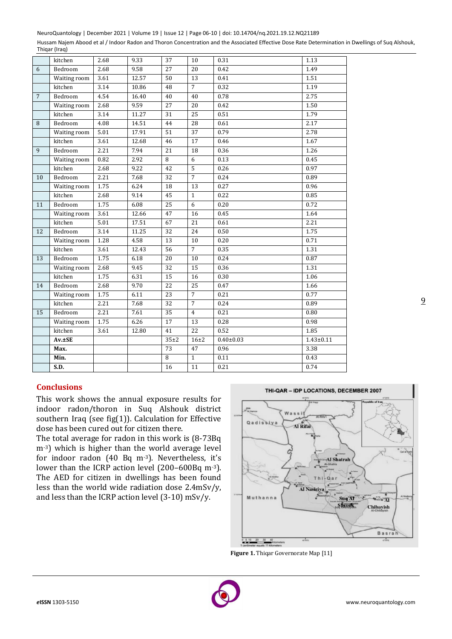NeuroQuantology | December 2021 | Volume 19 | Issue 12 | Page 06-10 | doi: 10.14704/nq.2021.19.12.NQ21189

Hussam Najem Abood et al / Indoor Radon and Thoron Concentration and the Associated Effective Dose Rate Determination in Dwellings of Suq Alshouk, Thiqar (Iraq)

|                 | kitchen      | 2.68 | 9.33  | 37              | 10              | 0.31            | 1.13            |
|-----------------|--------------|------|-------|-----------------|-----------------|-----------------|-----------------|
| 6               | Bedroom      | 2.68 | 9.58  | 27              | 20              | 0.42            | 1.49            |
|                 | Waiting room | 3.61 | 12.57 | 50              | 13              | 0.41            | 1.51            |
|                 | kitchen      | 3.14 | 10.86 | 48              | $\overline{7}$  | 0.32            | 1.19            |
| $7\overline{ }$ | Bedroom      | 4.54 | 16.40 | 40              | 40              | 0.78            | 2.75            |
|                 | Waiting room | 2.68 | 9.59  | 27              | 20              | 0.42            | 1.50            |
|                 | kitchen      | 3.14 | 11.27 | 31              | 25              | 0.51            | 1.79            |
| 8               | Bedroom      | 4.08 | 14.51 | 44              | 28              | 0.61            | 2.17            |
|                 | Waiting room | 5.01 | 17.91 | 51              | 37              | 0.79            | 2.78            |
|                 | kitchen      | 3.61 | 12.68 | 46              | 17              | 0.46            | 1.67            |
| 9               | Bedroom      | 2.21 | 7.94  | 21              | 18              | 0.36            | 1.26            |
|                 | Waiting room | 0.82 | 2.92  | 8               | 6               | 0.13            | 0.45            |
|                 | kitchen      | 2.68 | 9.22  | 42              | $\overline{5}$  | 0.26            | 0.97            |
| 10              | Bedroom      | 2.21 | 7.68  | 32              | $\overline{7}$  | 0.24            | 0.89            |
|                 | Waiting room | 1.75 | 6.24  | 18              | 13              | 0.27            | 0.96            |
|                 | kitchen      | 2.68 | 9.14  | 45              | $\mathbf{1}$    | 0.22            | 0.85            |
| 11              | Bedroom      | 1.75 | 6.08  | 25              | 6               | 0.20            | 0.72            |
|                 | Waiting room | 3.61 | 12.66 | 47              | 16              | 0.45            | 1.64            |
|                 | kitchen      | 5.01 | 17.51 | 67              | 21              | 0.61            | 2.21            |
| 12              | Bedroom      | 3.14 | 11.25 | 32              | 24              | 0.50            | 1.75            |
|                 | Waiting room | 1.28 | 4.58  | 13              | 10              | 0.20            | 0.71            |
|                 | kitchen      | 3.61 | 12.43 | 56              | $\overline{7}$  | 0.35            | 1.31            |
| 13              | Bedroom      | 1.75 | 6.18  | $\overline{20}$ | 10              | 0.24            | 0.87            |
|                 | Waiting room | 2.68 | 9.45  | 32              | 15              | 0.36            | 1.31            |
|                 | kitchen      | 1.75 | 6.31  | 15              | 16              | 0.30            | 1.06            |
| 14              | Bedroom      | 2.68 | 9.70  | $\overline{22}$ | $\overline{25}$ | 0.47            | 1.66            |
|                 | Waiting room | 1.75 | 6.11  | 23              | $\overline{7}$  | 0.21            | 0.77            |
|                 | kitchen      | 2.21 | 7.68  | $\overline{32}$ | $\overline{7}$  | 0.24            | 0.89            |
| 15              | Bedroom      | 2.21 | 7.61  | $\overline{35}$ | $\overline{4}$  | 0.21            | 0.80            |
|                 | Waiting room | 1.75 | 6.26  | 17              | 13              | 0.28            | 0.98            |
|                 | kitchen      | 3.61 | 12.80 | 41              | 22              | 0.52            | 1.85            |
|                 | $Av. \pm SE$ |      |       | $35+2$          | $16\pm2$        | $0.40 \pm 0.03$ | $1.43 \pm 0.11$ |
|                 | Max.         |      |       | 73              | 47              | 0.96            | 3.38            |
|                 | Min.         |      |       | 8               | $\mathbf{1}$    | 0.11            | 0.43            |
|                 | S.D.         |      |       | 16              | 11              | 0.21            | 0.74            |

# **Conclusions**

This work shows the annual exposure results for indoor radon/thoron in Suq Alshouk district southern Iraq (see fig(1)). Calculation for Effective dose has been cured out for citizen there.

The total average for radon in this work is (8-73Bq m<sup>-3</sup>) which is higher than the world average level for indoor radon (40 Bq m-3). Nevertheless, it's lower than the ICRP action level (200–600Bq m-3). The AED for citizen in dwellings has been found less than the world wide radiation dose 2.4mSv/y, and less than the ICRP action level (3-10) mSv/y.



**Figure 1.** Thiqar Governorate Map [11]